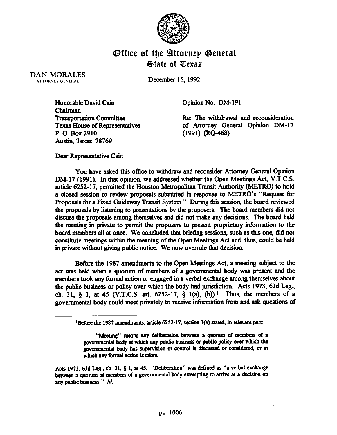

## **Office of the Attornep General State of Texas**

DAN MORALES ATTORNEY GENERAL

December 16.1992

Honorable David Cain Chairman Transportation Committee. Texas House of Representatives P. 0. Box 2910 Austin, Texas 78769

Opinion No. DM-191

Re: The withdrawal and reconsideration of Attorney General Opinion DM-17 (1991) (RQ-468)

Dear Representative Cain:

You have asked this office to withdraw and reconsider Attorney General Opinion DM-17 (1991). In that opinion, we addressed whether the Open Meetings Act, V.T.C.S. article 6252-17. permitted the Houston Metropolitan Transit Authority (METRO) to hold a closed session to review proposals submitted in response to METRO's "Request for Proposals for a Fixed Guideway Transit System." During this session, the board reviewed the proposals by listening to presentations by the proposers. The board members did not discuss the proposals among themselves and did not make any decisions. The board held the meeting in private to permit the proposers to present proprietary information to the board members all at once. We concluded that briefing sessions, such as this one, did not constitute meetings within the meaning of the Open Meetings Act and, thus, could be held in private without giving public notice. We now overrule that decision.

Before the 1987 amendments to the Open Meetings 'Act, a meeting subject to the act was held when a quorum of members of a governmental body was present and the **members** took any formal action or engaged in a verbal exchange among themselves about the public business or policy over which the body had jurisdiction. Acts 1973,63d Leg., ch. 31, § 1, at 45 (V.T.C.S. art. 6252-17, § 1(a), (b)).<sup>1</sup> Thus, the members of a governmental body could meet privately to receive information from and ask questions of

<sup>&</sup>lt;sup>1</sup>Before the 1987 amendments, article 6252-17, section 1(a) stated, in relevant part:

<sup>&</sup>quot;Meeting" means any deliberation between a quorum of members of a gcvemmcntal body at which any public business or public policy ever which the governmental body has supervision or control is discussed or considered, or at which any formal action is taken.

Acts 1973, 63d Leg., ch. 31,  $\S$  1, at 45. "Deliberation" was defined as "a verbal exchange between a quorum of members of a governmental body attempting to arrive at a decision on *any public bosiness." Id.*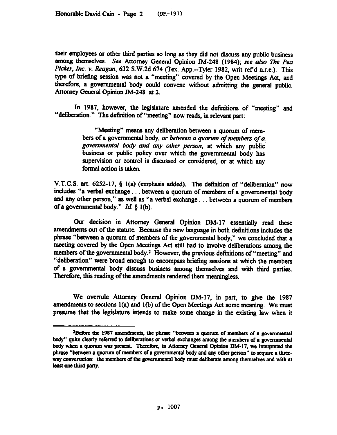their employees or other third parties so long as they did not discuss any public business among themselves. See Attorney General Opinion JM-248 (1984); see also The Pea *Picker,* Inc. v. *Reagan,* 632 S.W.2d 674 (Tex. App.-Tyler 1982, writ ref d n.r.e.). This type. of briefmg session was not a "meeting" covered by the Open Meetings Act, and therefore, a governmental body could convene without admitting the general public. Attorney General Opinion JM-248 at 2.

In 1987. however, the legislature amended the definitions of "meeting" and "deliberation." The definition of "meeting" now reads, in relevant part:

> "Meeting" means any deliberation between a quorum of mem*bers of a governmental body, or between a quorum of members of a governmental bo@* and any *other* person, at which any public business or public policy over which the governmental body has supervision or control is discussed or considered, or at which any formal action is taken.

V.T.C.S. art. 6252-17, Q I(a) (emphasis added). The defmition of "deliberation" now includes "a verbal exchange. . between a quorum of members of a governmental body and any other person," as well as "a verbal exchange . . between a quorum of members of a governmental body."  $Id.$  § 1(b).

Our decision in Attorney General Opinion DM-17 essentially read these amendments out of the statute. Because the new language in both definitions includes the phrase "between a quorum of members of the governmental body," we concluded that a meeting covered by the Open Meetings Act still had to involve deliberations among the *members* of the governmental body.<sup>2</sup> However, the previous definitions of "meeting" and "deliberation" were broad enough to encompass briefing sessions at which the members of a governmental body discuss business among themselves and with third parties. Therefore, this reading of the amendments rendered them meaningless.

We overrule Attorney General Opinion DM-17, in part, to give the 1987 amendments to sections l(a) and l(b) of the Open Meetings Act some meaning. We must presume that the legislature intends to make some change in the existing law when it

<sup>&</sup>lt;sup>2</sup>Before the 1987 amendments, the phrase "between a quorum of members of a governmental body" quite clearly referred to deliberations or verbal exchanges among the members of a governmental body when a quorum was present. Therefore, in Attorney General Opinion DM-17, we interpreted the phrase "between a quorum of members of a governmental body and any other person" to require a threeway conversation: the members of the governmental body must deliberate among themselves and with at least one third party.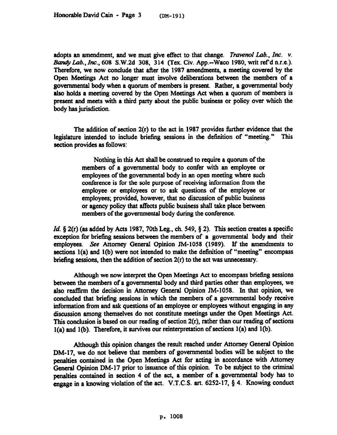adopts an amendment, and we must give effect to that change. *Travenol Lab.*, Inc. v. Bandy Lab., Inc., 608 S.W.2d 308, 314 (Tex. Civ. App.--Waco 1980, writ ref'd n.r.e.). Therefore, we now conclude that after the 1987 amendments, a meeting covered by the Open Meetings Act no longer must involve deliberations between the members of a governmentsJ body when a quorum of members is present. Rather, a governmental body also holds a meeting covered by the Open Meetings Act when a quorum of members is present and meets with a third party about the public business or policy over which the body has jurisdiction.

The addition of section  $2(r)$  to the act in 1987 provides further evidence that the legislature intended to include briefing sessions in the definition of "meeting." This section provides as follows:

> Nothing in this Act shall be construed to require a quorum of the members of a governmental body to confer with an employee or employees of the governmental body in an open meeting where such conference is for the sole purpose of receiving information from the employee or employees or to ask questions of the employee or employees; provided, however, that no discussion of public business or agency policy that affects public business shall take place between members of the governmental body during the conference.

*Id.* § 2(r) (as added by Acts 1987, 70th Leg., ch. 549, § 2). This section creates a specific exception for briefing sessions between the members of a governmental body and their employees. See Attorney General Opinion JM-1058 (1989). If the amendments to sections  $l(a)$  and  $l(b)$  were not intended to make the definition of "meeting" encompass briefing sessions, then the addition of section  $2(r)$  to the act was unnecessary.

Although we now interpret the Open Meetings Act to encompass briefing sessions between the members of a governmental body and third parties other than employees, we also reaffirm the decision in Attorney General Opinion JM-1058. In that opinion, we concluded that briefing sessions in which the members of a governmental body receive information from and ask questions of an employee or employees without engaging in any discussion among themselves do not constitute meetings under the Open Meetings Act. This conclusion is based on our reading of section 2(r), rather than our reading of sections l(a) and l(b). Therefore, it survives our reinterpretation of sections I(a) and l(b).

Although this opinion changes the result reached under Attorney General Opiion DM-17, we do not believe that members of governmental bodies will be subject to the penalties contained in the Open Meetings Act for acting in accordance with Attorney General Opinion DM-17 prior to issuance of this opinion. To be subject to the criminal penalties contained in section 4 of the act, a member of a governmental body has to engage in a knowing violation of the act. V.T.C.S. art.  $6252-17$ , § 4. Knowing conduct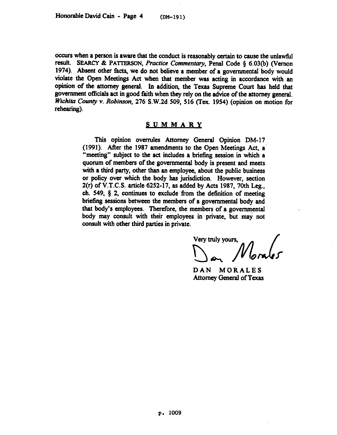occurs when a person is aware that the conduct is reasonably certain to cause the unlawful result. SEARCY & PATTERSON, Practice Commentary, Penal Code § 6.03(b) (Vernon 1974). Absent other facts, we do not believe a member of a governmental body would violate the Open Meetings Act when that member was acting in accordance with an opinion of the attorney general. In addition, the Texas Supreme Court has held that government 05cials act in good faith when they rely on the advice of the attorney general. *Wichita County v. Robinson, 276 S.W.2d 509, 516 (Tex. 1954) (opinion on motion for* rehearing).

## <u>SUMMARY</u>

This opinion overrules Attorney General Opinion DM-17 (1991). After the 1987 amendments to the Open Meetings Act, a "meeting" subject to the act includes a briefing session in which a quorum of members of the governmental body is present and meets with a third party, other than an employee, about the public business or policy over which the body has jurisdiction. However, section 2(r) of V.T.C.S. article 6252-17, as added by Acts 1987, 70th Leg., ch. 549,  $\S$  2, continues to exclude from the definition of meeting briefing sessions between the members of a governmental body and that body's employees. Therefore, the members of a governmental body may consult with their employees in private, but may not consult with other third parties in private.

Very truly yours,

DAN MORALES Attorney General of Texas